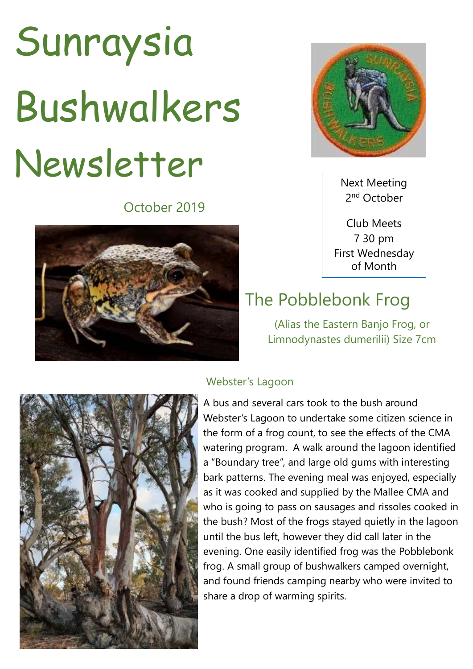## Sunraysia Bushwalkers Newsletter

October 2019





Next Meeting 2<sup>nd</sup> October

Club Meets 7 30 pm First Wednesday of Month

## The Pobblebonk Frog

(Alias the Eastern Banjo Frog, or Limnodynastes dumerilii) Size 7cm



## Webster's Lagoon

A bus and several cars took to the bush around Webster's Lagoon to undertake some citizen science in the form of a frog count, to see the effects of the CMA watering program. A walk around the lagoon identified a "Boundary tree", and large old gums with interesting bark patterns. The evening meal was enjoyed, especially as it was cooked and supplied by the Mallee CMA and who is going to pass on sausages and rissoles cooked in the bush? Most of the frogs stayed quietly in the lagoon until the bus left, however they did call later in the evening. One easily identified frog was the Pobblebonk frog. A small group of bushwalkers camped overnight, and found friends camping nearby who were invited to share a drop of warming spirits.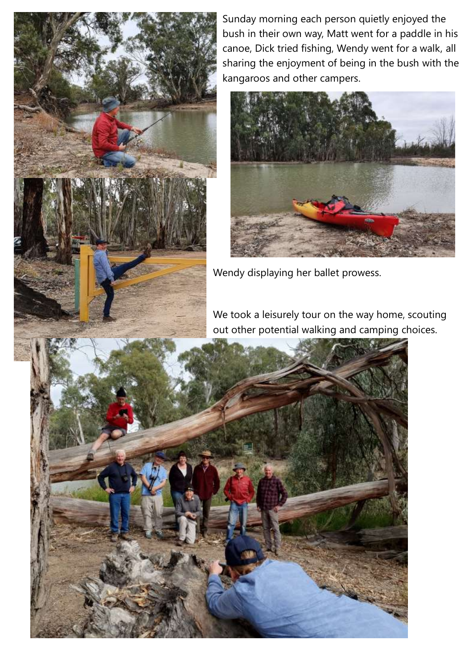

Sunday morning each person quietly enjoyed the bush in their own way, Matt went for a paddle in his canoe, Dick tried fishing, Wendy went for a walk, all sharing the enjoyment of being in the bush with the kangaroos and other campers.



Wendy displaying her ballet prowess.

We took a leisurely tour on the way home, scouting out other potential walking and camping choices.

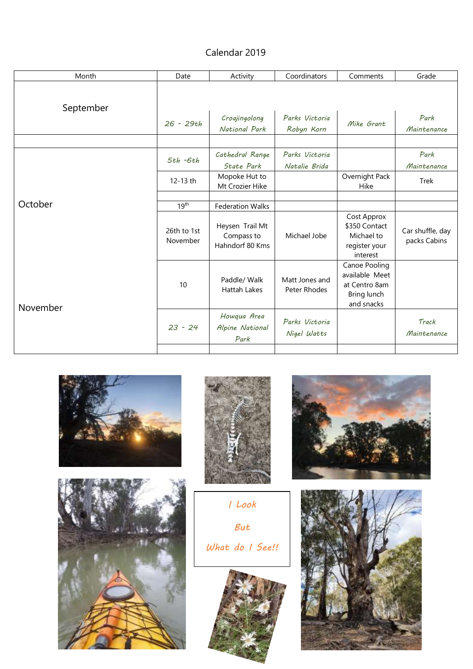## Calendar 2019

| Month     | Date                    | Activity                                         | Coordinators                    | Comments                                                                      | Grade                            |
|-----------|-------------------------|--------------------------------------------------|---------------------------------|-------------------------------------------------------------------------------|----------------------------------|
| September |                         |                                                  |                                 |                                                                               |                                  |
|           | $26 - 29th$             | Croajingolong<br>National Park                   | Parks Victoria<br>Robyn Korn    | Mike Grant                                                                    | Park<br>Maintenance              |
| October   | $5th - 6th$<br>12-13 th | Cathedral Range<br>State Park<br>Mopoke Hut to   | Parks Victoria<br>Natalie Brida | Overnight Pack                                                                | Park<br>Maintenance<br>Trek      |
|           | 19 <sup>th</sup>        | Mt Crozier Hike<br><b>Federation Walks</b>       |                                 | <b>Hike</b>                                                                   |                                  |
|           | 26th to 1st<br>November | Heysen Trail Mt<br>Compass to<br>Hahndorf 80 Kms | Michael Jobe                    | Cost Approx<br>\$350 Contact<br>Michael to<br>register your<br>interest       | Car shuffle, day<br>packs Cabins |
| November  | 10                      | Paddle/ Walk<br><b>Hattah Lakes</b>              | Matt Jones and<br>Peter Rhodes  | Canoe Pooling<br>available Meet<br>at Centro 8am<br>Bring lunch<br>and snacks |                                  |
|           | $23 - 24$               | Howqua Area<br>Alpine National<br>Park           | Parks Victoria<br>Nigel Watts   |                                                                               | Track<br>Maintenance             |
|           |                         |                                                  |                                 |                                                                               |                                  |







*I Look But What do I See!!*